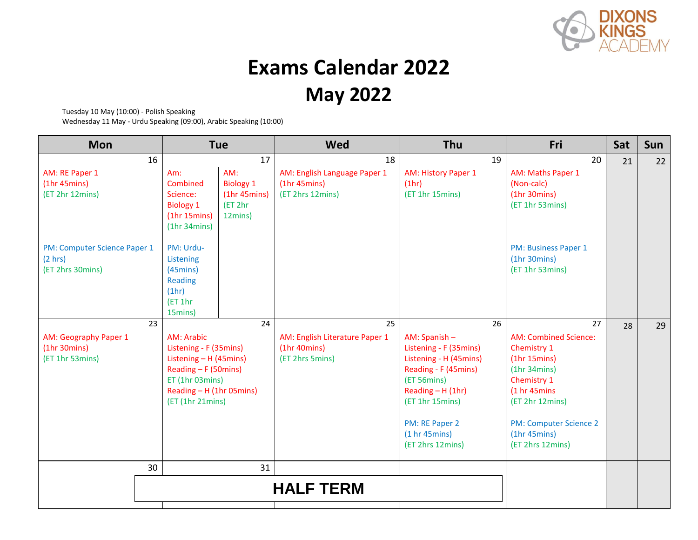

## **Exams Calendar 2022 May 2022**

Tuesday 10 May (10:00) - Polish Speaking

Wednesday 11 May - Urdu Speaking (09:00), Arabic Speaking (10:00)

| <b>Mon</b>                                                  | <b>Tue</b>                                                                                                                                                |                                                        | Wed                                                                | Thu                                                                                                                                                                                                       | Fri                                                                                                                                                                                                   | Sat | <b>Sun</b> |
|-------------------------------------------------------------|-----------------------------------------------------------------------------------------------------------------------------------------------------------|--------------------------------------------------------|--------------------------------------------------------------------|-----------------------------------------------------------------------------------------------------------------------------------------------------------------------------------------------------------|-------------------------------------------------------------------------------------------------------------------------------------------------------------------------------------------------------|-----|------------|
| 16                                                          |                                                                                                                                                           | 17                                                     | 18                                                                 | 19                                                                                                                                                                                                        | 20                                                                                                                                                                                                    | 21  | 22         |
| AM: RE Paper 1<br>(1hr 45mins)<br>(ET 2hr 12mins)           | AM:<br>Am:<br>Combined<br>Science:<br><b>Biology 1</b><br>(1hr 15 mins)<br>(1hr 34 mins)                                                                  | <b>Biology 1</b><br>(1hr 45 mins)<br>ET 2hr<br>12mins) | AM: English Language Paper 1<br>(1hr 45 mins)<br>(ET 2hrs 12mins)  | <b>AM: History Paper 1</b><br>(1hr)<br>(ET 1hr 15mins)                                                                                                                                                    | AM: Maths Paper 1<br>(Non-calc)<br>(1hr 30mins)<br>(ET 1hr 53mins)                                                                                                                                    |     |            |
| PM: Computer Science Paper 1<br>(2 hrs)<br>(ET 2hrs 30mins) | PM: Urdu-<br>Listening<br>$(45 \text{mins})$<br><b>Reading</b><br>(1hr)<br>(ET 1hr)<br>15mins)                                                            |                                                        |                                                                    |                                                                                                                                                                                                           | PM: Business Paper 1<br>(1hr 30mins)<br>(ET 1hr 53mins)                                                                                                                                               |     |            |
| 23                                                          |                                                                                                                                                           | 24                                                     | 25                                                                 | 26                                                                                                                                                                                                        | 27                                                                                                                                                                                                    | 28  | 29         |
| AM: Geography Paper 1<br>(1hr 30 mins)<br>(ET 1hr 53mins)   | AM: Arabic<br>Listening - F (35mins)<br>Listening - H (45mins)<br>Reading - F (50mins)<br>ET (1hr 03mins)<br>Reading - H (1hr 05mins)<br>(ET (1hr 21mins) |                                                        | AM: English Literature Paper 1<br>(1hr 40 mins)<br>(ET 2hrs 5mins) | AM: Spanish -<br>Listening - F (35mins)<br>Listening - H (45mins)<br>Reading - F (45mins)<br>(ET 56mins)<br>Reading $- H(1hr)$<br>(ET 1hr 15mins)<br>PM: RE Paper 2<br>(1 hr 45 mins)<br>(ET 2hrs 12mins) | <b>AM: Combined Science:</b><br>Chemistry 1<br>(1hr 15 mins)<br>(1hr 34 mins)<br>Chemistry 1<br>(1 hr 45mins<br>(ET 2hr 12mins)<br><b>PM: Computer Science 2</b><br>(1hr 45 mins)<br>(ET 2hrs 12mins) |     |            |
| 30                                                          |                                                                                                                                                           | 31                                                     |                                                                    |                                                                                                                                                                                                           |                                                                                                                                                                                                       |     |            |
|                                                             |                                                                                                                                                           | <b>HALF TERM</b>                                       |                                                                    |                                                                                                                                                                                                           |                                                                                                                                                                                                       |     |            |
|                                                             |                                                                                                                                                           |                                                        |                                                                    |                                                                                                                                                                                                           |                                                                                                                                                                                                       |     |            |